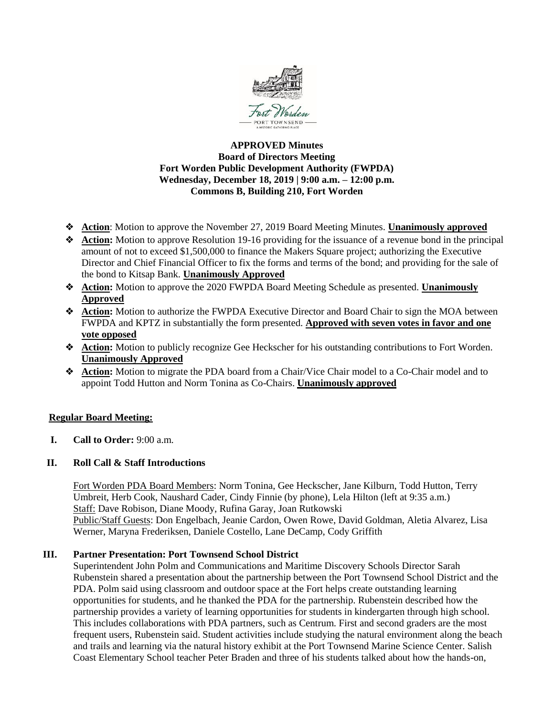

# **APPROVED Minutes Board of Directors Meeting Fort Worden Public Development Authority (FWPDA) Wednesday, December 18, 2019 | 9:00 a.m. – 12:00 p.m. Commons B, Building 210, Fort Worden**

- ❖ **Action**: Motion to approve the November 27, 2019 Board Meeting Minutes. **Unanimously approved**
- ❖ **Action:** Motion to approve Resolution 19-16 providing for the issuance of a revenue bond in the principal amount of not to exceed \$1,500,000 to finance the Makers Square project; authorizing the Executive Director and Chief Financial Officer to fix the forms and terms of the bond; and providing for the sale of the bond to Kitsap Bank. **Unanimously Approved**
- ❖ **Action:** Motion to approve the 2020 FWPDA Board Meeting Schedule as presented. **Unanimously Approved**
- ❖ **Action:** Motion to authorize the FWPDA Executive Director and Board Chair to sign the MOA between FWPDA and KPTZ in substantially the form presented. **Approved with seven votes in favor and one vote opposed**
- ❖ **Action:** Motion to publicly recognize Gee Heckscher for his outstanding contributions to Fort Worden. **Unanimously Approved**
- ❖ **Action:** Motion to migrate the PDA board from a Chair/Vice Chair model to a Co-Chair model and to appoint Todd Hutton and Norm Tonina as Co-Chairs. **Unanimously approved**

# **Regular Board Meeting:**

**I. Call to Order:** 9:00 a.m.

# **II. Roll Call & Staff Introductions**

Fort Worden PDA Board Members: Norm Tonina, Gee Heckscher, Jane Kilburn, Todd Hutton, Terry Umbreit, Herb Cook, Naushard Cader, Cindy Finnie (by phone), Lela Hilton (left at 9:35 a.m.) Staff: Dave Robison, Diane Moody, Rufina Garay, Joan Rutkowski Public/Staff Guests: Don Engelbach, Jeanie Cardon, Owen Rowe, David Goldman, Aletia Alvarez, Lisa Werner, Maryna Frederiksen, Daniele Costello, Lane DeCamp, Cody Griffith

# **III. Partner Presentation: Port Townsend School District**

Superintendent John Polm and Communications and Maritime Discovery Schools Director Sarah Rubenstein shared a presentation about the partnership between the Port Townsend School District and the PDA. Polm said using classroom and outdoor space at the Fort helps create outstanding learning opportunities for students, and he thanked the PDA for the partnership. Rubenstein described how the partnership provides a variety of learning opportunities for students in kindergarten through high school. This includes collaborations with PDA partners, such as Centrum. First and second graders are the most frequent users, Rubenstein said. Student activities include studying the natural environment along the beach and trails and learning via the natural history exhibit at the Port Townsend Marine Science Center. Salish Coast Elementary School teacher Peter Braden and three of his students talked about how the hands-on,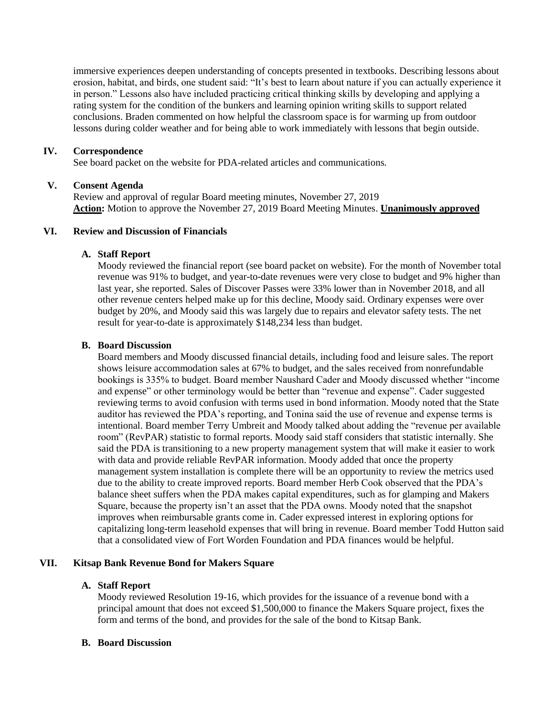immersive experiences deepen understanding of concepts presented in textbooks. Describing lessons about erosion, habitat, and birds, one student said: "It's best to learn about nature if you can actually experience it in person." Lessons also have included practicing critical thinking skills by developing and applying a rating system for the condition of the bunkers and learning opinion writing skills to support related conclusions. Braden commented on how helpful the classroom space is for warming up from outdoor lessons during colder weather and for being able to work immediately with lessons that begin outside.

### **IV. Correspondence**

See board packet on the website for PDA-related articles and communications.

### **V. Consent Agenda**

Review and approval of regular Board meeting minutes, November 27, 2019 **Action:** Motion to approve the November 27, 2019 Board Meeting Minutes. **Unanimously approved**

# **VI. Review and Discussion of Financials**

#### **A. Staff Report**

Moody reviewed the financial report (see board packet on website). For the month of November total revenue was 91% to budget, and year-to-date revenues were very close to budget and 9% higher than last year, she reported. Sales of Discover Passes were 33% lower than in November 2018, and all other revenue centers helped make up for this decline, Moody said. Ordinary expenses were over budget by 20%, and Moody said this was largely due to repairs and elevator safety tests. The net result for year-to-date is approximately \$148,234 less than budget.

### **B. Board Discussion**

Board members and Moody discussed financial details, including food and leisure sales. The report shows leisure accommodation sales at 67% to budget, and the sales received from nonrefundable bookings is 335% to budget. Board member Naushard Cader and Moody discussed whether "income and expense" or other terminology would be better than "revenue and expense". Cader suggested reviewing terms to avoid confusion with terms used in bond information. Moody noted that the State auditor has reviewed the PDA's reporting, and Tonina said the use of revenue and expense terms is intentional. Board member Terry Umbreit and Moody talked about adding the "revenue per available room" (RevPAR) statistic to formal reports. Moody said staff considers that statistic internally. She said the PDA is transitioning to a new property management system that will make it easier to work with data and provide reliable RevPAR information. Moody added that once the property management system installation is complete there will be an opportunity to review the metrics used due to the ability to create improved reports. Board member Herb Cook observed that the PDA's balance sheet suffers when the PDA makes capital expenditures, such as for glamping and Makers Square, because the property isn't an asset that the PDA owns. Moody noted that the snapshot improves when reimbursable grants come in. Cader expressed interest in exploring options for capitalizing long-term leasehold expenses that will bring in revenue. Board member Todd Hutton said that a consolidated view of Fort Worden Foundation and PDA finances would be helpful.

### **VII. Kitsap Bank Revenue Bond for Makers Square**

#### **A. Staff Report**

Moody reviewed Resolution 19-16, which provides for the issuance of a revenue bond with a principal amount that does not exceed \$1,500,000 to finance the Makers Square project, fixes the form and terms of the bond, and provides for the sale of the bond to Kitsap Bank.

#### **B. Board Discussion**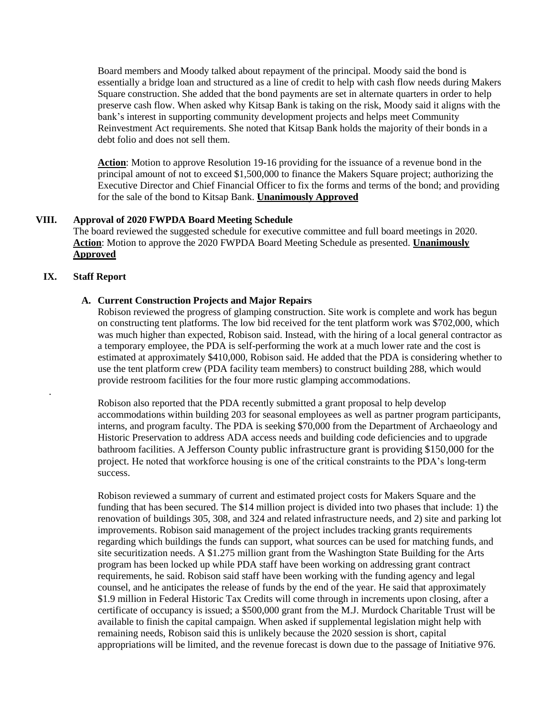Board members and Moody talked about repayment of the principal. Moody said the bond is essentially a bridge loan and structured as a line of credit to help with cash flow needs during Makers Square construction. She added that the bond payments are set in alternate quarters in order to help preserve cash flow. When asked why Kitsap Bank is taking on the risk, Moody said it aligns with the bank's interest in supporting community development projects and helps meet Community Reinvestment Act requirements. She noted that Kitsap Bank holds the majority of their bonds in a debt folio and does not sell them.

**Action**: Motion to approve Resolution 19-16 providing for the issuance of a revenue bond in the principal amount of not to exceed \$1,500,000 to finance the Makers Square project; authorizing the Executive Director and Chief Financial Officer to fix the forms and terms of the bond; and providing for the sale of the bond to Kitsap Bank. **Unanimously Approved**

# **VIII. Approval of 2020 FWPDA Board Meeting Schedule**

The board reviewed the suggested schedule for executive committee and full board meetings in 2020. **Action**: Motion to approve the 2020 FWPDA Board Meeting Schedule as presented. **Unanimously Approved**

# **IX. Staff Report**

.

# **A. Current Construction Projects and Major Repairs**

Robison reviewed the progress of glamping construction. Site work is complete and work has begun on constructing tent platforms. The low bid received for the tent platform work was \$702,000, which was much higher than expected, Robison said. Instead, with the hiring of a local general contractor as a temporary employee, the PDA is self-performing the work at a much lower rate and the cost is estimated at approximately \$410,000, Robison said. He added that the PDA is considering whether to use the tent platform crew (PDA facility team members) to construct building 288, which would provide restroom facilities for the four more rustic glamping accommodations.

Robison also reported that the PDA recently submitted a grant proposal to help develop accommodations within building 203 for seasonal employees as well as partner program participants, interns, and program faculty. The PDA is seeking \$70,000 from the Department of Archaeology and Historic Preservation to address ADA access needs and building code deficiencies and to upgrade bathroom facilities. A Jefferson County public infrastructure grant is providing \$150,000 for the project. He noted that workforce housing is one of the critical constraints to the PDA's long-term success.

Robison reviewed a summary of current and estimated project costs for Makers Square and the funding that has been secured. The \$14 million project is divided into two phases that include: 1) the renovation of buildings 305, 308, and 324 and related infrastructure needs, and 2) site and parking lot improvements. Robison said management of the project includes tracking grants requirements regarding which buildings the funds can support, what sources can be used for matching funds, and site securitization needs. A \$1.275 million grant from the Washington State Building for the Arts program has been locked up while PDA staff have been working on addressing grant contract requirements, he said. Robison said staff have been working with the funding agency and legal counsel, and he anticipates the release of funds by the end of the year. He said that approximately \$1.9 million in Federal Historic Tax Credits will come through in increments upon closing, after a certificate of occupancy is issued; a \$500,000 grant from the M.J. Murdock Charitable Trust will be available to finish the capital campaign. When asked if supplemental legislation might help with remaining needs, Robison said this is unlikely because the 2020 session is short, capital appropriations will be limited, and the revenue forecast is down due to the passage of Initiative 976.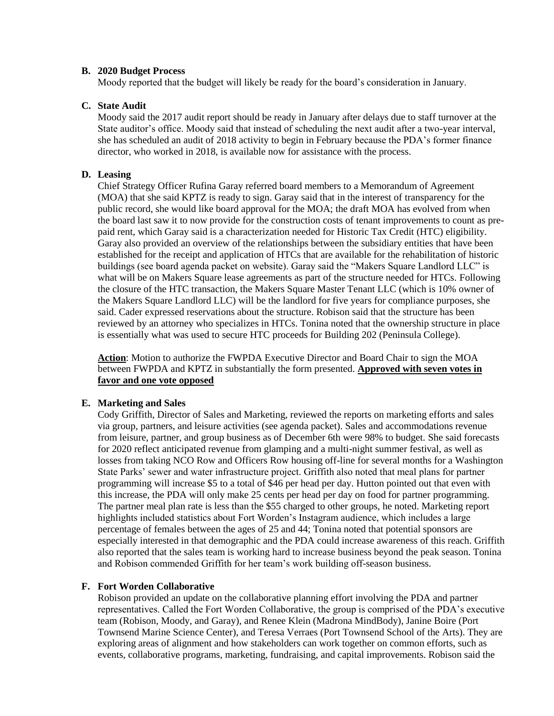### **B. 2020 Budget Process**

Moody reported that the budget will likely be ready for the board's consideration in January.

## **C. State Audit**

Moody said the 2017 audit report should be ready in January after delays due to staff turnover at the State auditor's office. Moody said that instead of scheduling the next audit after a two-year interval, she has scheduled an audit of 2018 activity to begin in February because the PDA's former finance director, who worked in 2018, is available now for assistance with the process.

## **D. Leasing**

Chief Strategy Officer Rufina Garay referred board members to a Memorandum of Agreement (MOA) that she said KPTZ is ready to sign. Garay said that in the interest of transparency for the public record, she would like board approval for the MOA; the draft MOA has evolved from when the board last saw it to now provide for the construction costs of tenant improvements to count as prepaid rent, which Garay said is a characterization needed for Historic Tax Credit (HTC) eligibility. Garay also provided an overview of the relationships between the subsidiary entities that have been established for the receipt and application of HTCs that are available for the rehabilitation of historic buildings (see board agenda packet on website). Garay said the "Makers Square Landlord LLC" is what will be on Makers Square lease agreements as part of the structure needed for HTCs. Following the closure of the HTC transaction, the Makers Square Master Tenant LLC (which is 10% owner of the Makers Square Landlord LLC) will be the landlord for five years for compliance purposes, she said. Cader expressed reservations about the structure. Robison said that the structure has been reviewed by an attorney who specializes in HTCs. Tonina noted that the ownership structure in place is essentially what was used to secure HTC proceeds for Building 202 (Peninsula College).

**Action**: Motion to authorize the FWPDA Executive Director and Board Chair to sign the MOA between FWPDA and KPTZ in substantially the form presented. **Approved with seven votes in favor and one vote opposed**

#### **E. Marketing and Sales**

Cody Griffith, Director of Sales and Marketing, reviewed the reports on marketing efforts and sales via group, partners, and leisure activities (see agenda packet). Sales and accommodations revenue from leisure, partner, and group business as of December 6th were 98% to budget. She said forecasts for 2020 reflect anticipated revenue from glamping and a multi-night summer festival, as well as losses from taking NCO Row and Officers Row housing off-line for several months for a Washington State Parks' sewer and water infrastructure project. Griffith also noted that meal plans for partner programming will increase \$5 to a total of \$46 per head per day. Hutton pointed out that even with this increase, the PDA will only make 25 cents per head per day on food for partner programming. The partner meal plan rate is less than the \$55 charged to other groups, he noted. Marketing report highlights included statistics about Fort Worden's Instagram audience, which includes a large percentage of females between the ages of 25 and 44; Tonina noted that potential sponsors are especially interested in that demographic and the PDA could increase awareness of this reach. Griffith also reported that the sales team is working hard to increase business beyond the peak season. Tonina and Robison commended Griffith for her team's work building off-season business.

#### **F. Fort Worden Collaborative**

Robison provided an update on the collaborative planning effort involving the PDA and partner representatives. Called the Fort Worden Collaborative, the group is comprised of the PDA's executive team (Robison, Moody, and Garay), and Renee Klein (Madrona MindBody), Janine Boire (Port Townsend Marine Science Center), and Teresa Verraes (Port Townsend School of the Arts). They are exploring areas of alignment and how stakeholders can work together on common efforts, such as events, collaborative programs, marketing, fundraising, and capital improvements. Robison said the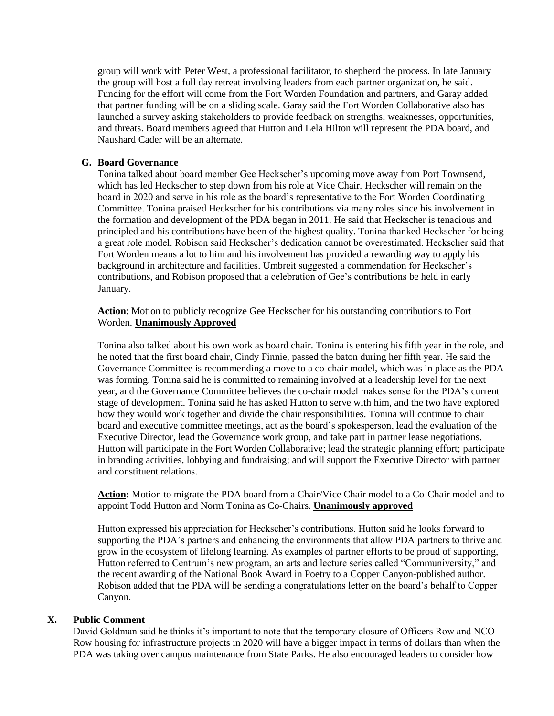group will work with Peter West, a professional facilitator, to shepherd the process. In late January the group will host a full day retreat involving leaders from each partner organization, he said. Funding for the effort will come from the Fort Worden Foundation and partners, and Garay added that partner funding will be on a sliding scale. Garay said the Fort Worden Collaborative also has launched a survey asking stakeholders to provide feedback on strengths, weaknesses, opportunities, and threats. Board members agreed that Hutton and Lela Hilton will represent the PDA board, and Naushard Cader will be an alternate.

# **G. Board Governance**

Tonina talked about board member Gee Heckscher's upcoming move away from Port Townsend, which has led Heckscher to step down from his role at Vice Chair. Heckscher will remain on the board in 2020 and serve in his role as the board's representative to the Fort Worden Coordinating Committee. Tonina praised Heckscher for his contributions via many roles since his involvement in the formation and development of the PDA began in 2011. He said that Heckscher is tenacious and principled and his contributions have been of the highest quality. Tonina thanked Heckscher for being a great role model. Robison said Heckscher's dedication cannot be overestimated. Heckscher said that Fort Worden means a lot to him and his involvement has provided a rewarding way to apply his background in architecture and facilities. Umbreit suggested a commendation for Heckscher's contributions, and Robison proposed that a celebration of Gee's contributions be held in early January.

**Action**: Motion to publicly recognize Gee Heckscher for his outstanding contributions to Fort Worden. **Unanimously Approved**

Tonina also talked about his own work as board chair. Tonina is entering his fifth year in the role, and he noted that the first board chair, Cindy Finnie, passed the baton during her fifth year. He said the Governance Committee is recommending a move to a co-chair model, which was in place as the PDA was forming. Tonina said he is committed to remaining involved at a leadership level for the next year, and the Governance Committee believes the co-chair model makes sense for the PDA's current stage of development. Tonina said he has asked Hutton to serve with him, and the two have explored how they would work together and divide the chair responsibilities. Tonina will continue to chair board and executive committee meetings, act as the board's spokesperson, lead the evaluation of the Executive Director, lead the Governance work group, and take part in partner lease negotiations. Hutton will participate in the Fort Worden Collaborative; lead the strategic planning effort; participate in branding activities, lobbying and fundraising; and will support the Executive Director with partner and constituent relations.

Action: Motion to migrate the PDA board from a Chair/Vice Chair model to a Co-Chair model and to appoint Todd Hutton and Norm Tonina as Co-Chairs. **Unanimously approved**

Hutton expressed his appreciation for Heckscher's contributions. Hutton said he looks forward to supporting the PDA's partners and enhancing the environments that allow PDA partners to thrive and grow in the ecosystem of lifelong learning. As examples of partner efforts to be proud of supporting, Hutton referred to Centrum's new program, an arts and lecture series called "Communiversity," and the recent awarding of the National Book Award in Poetry to a Copper Canyon-published author. Robison added that the PDA will be sending a congratulations letter on the board's behalf to Copper Canyon.

# **X. Public Comment**

David Goldman said he thinks it's important to note that the temporary closure of Officers Row and NCO Row housing for infrastructure projects in 2020 will have a bigger impact in terms of dollars than when the PDA was taking over campus maintenance from State Parks. He also encouraged leaders to consider how